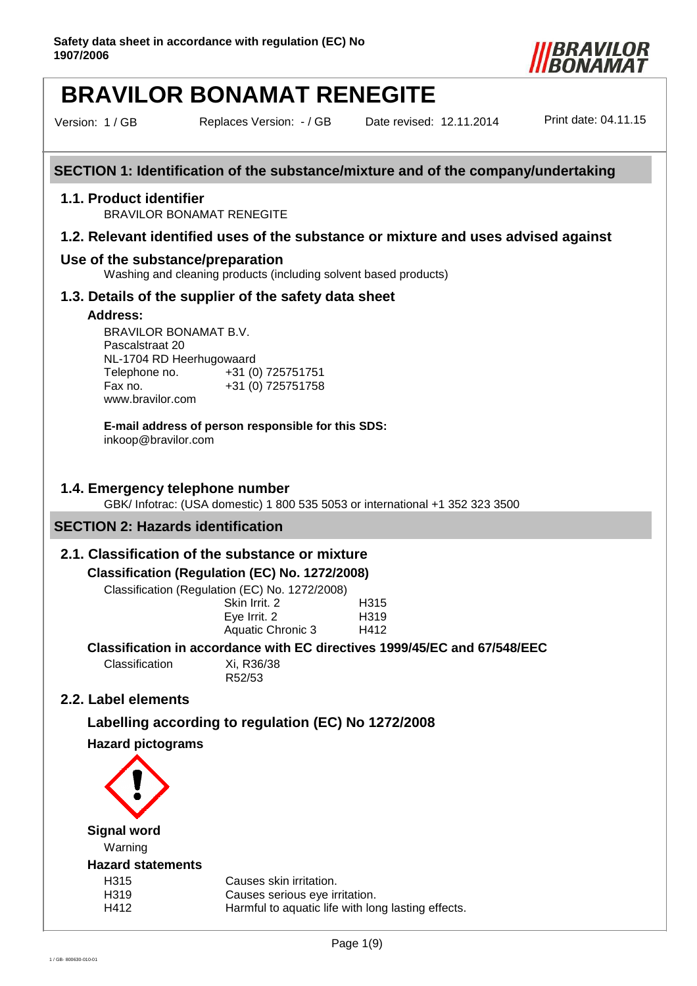

Version: 1 / GB Replaces Version: - / GB

Date revised: 12.11.2014 Print date: 04.11.15

# **SECTION 1: Identification of the substance/mixture and of the company/undertaking**

#### **1.1. Product identifier**

BRAVILOR BONAMAT RENEGITE

#### **1.2. Relevant identified uses of the substance or mixture and uses advised against**

# **Use of the substance/preparation**

Washing and cleaning products (including solvent based products)

#### **1.3. Details of the supplier of the safety data sheet**

#### **Address:**

BRAVILOR BONAMAT B.V. Pascalstraat 20 NL-1704 RD Heerhugowaard Telephone no. +31 (0) 725751751 Fax no. +31 (0) 725751758 www.bravilor.com

**E-mail address of person responsible for this SDS:** inkoop@bravilor.com

#### **1.4. Emergency telephone number**

GBK/ Infotrac: (USA domestic) 1 800 535 5053 or international +1 352 323 3500

## **SECTION 2: Hazards identification**

### **2.1. Classification of the substance or mixture**

#### **Classification (Regulation (EC) No. 1272/2008)**

Classification (Regulation (EC) No. 1272/2008)

| 10000111001130112120001 |                   |
|-------------------------|-------------------|
| Skin Irrit. 2           | H315              |
| Eye Irrit. 2            | H <sub>3</sub> 19 |
| Aquatic Chronic 3       | H412              |
|                         |                   |

#### **Classification in accordance with EC directives 1999/45/EC and 67/548/EEC**

Classification Xi, R36/38

R52/53

# **2.2. Label elements**

# **Labelling according to regulation (EC) No 1272/2008**

# **Hazard pictograms**

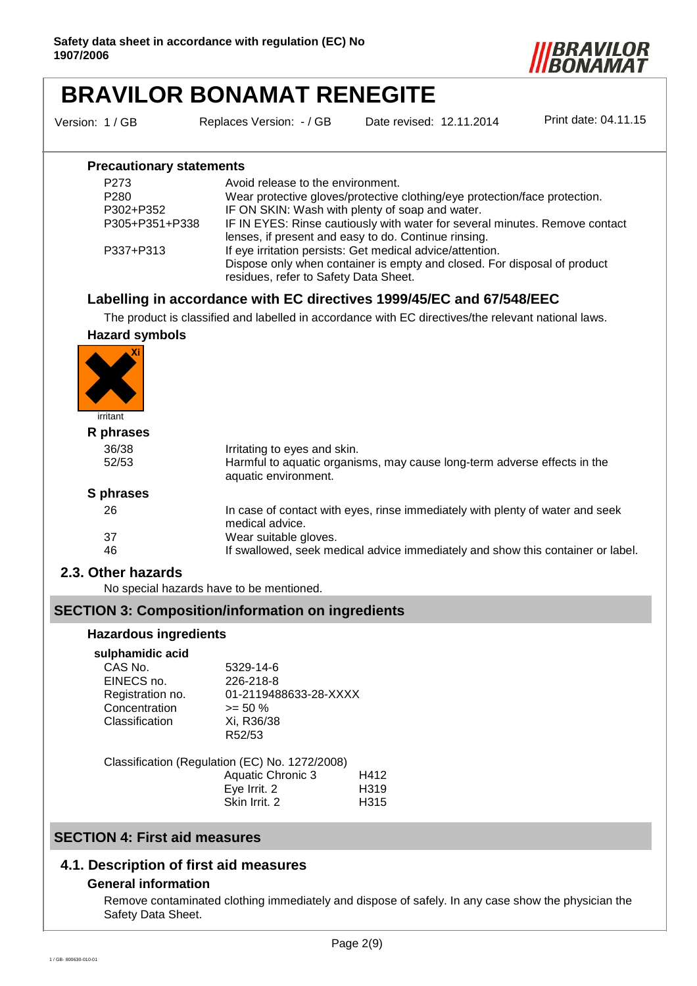

Version: 1 / GB Replaces Version: - / GB

Date revised: 12.11.2014 Print date: 04.11.15

### **Precautionary statements**

| P <sub>273</sub> | Avoid release to the environment.                                           |
|------------------|-----------------------------------------------------------------------------|
| P <sub>280</sub> | Wear protective gloves/protective clothing/eye protection/face protection.  |
| P302+P352        | IF ON SKIN: Wash with plenty of soap and water.                             |
| P305+P351+P338   | IF IN EYES: Rinse cautiously with water for several minutes. Remove contact |
|                  | lenses, if present and easy to do. Continue rinsing.                        |
| P337+P313        | If eye irritation persists: Get medical advice/attention.                   |
|                  | Dispose only when container is empty and closed. For disposal of product    |
|                  | residues, refer to Safety Data Sheet.                                       |

# **Labelling in accordance with EC directives 1999/45/EC and 67/548/EEC**

The product is classified and labelled in accordance with EC directives/the relevant national laws.

# **Hazard symbols**



# **R phrases**

| R phrases |                                                                                                  |
|-----------|--------------------------------------------------------------------------------------------------|
| 36/38     | Irritating to eyes and skin.                                                                     |
| 52/53     | Harmful to aquatic organisms, may cause long-term adverse effects in the<br>aquatic environment. |
| S phrases |                                                                                                  |
| 26        | In case of contact with eyes, rinse immediately with plenty of water and seek<br>medical advice. |
| 37        | Wear suitable gloves.                                                                            |
| 46        | If swallowed, seek medical advice immediately and show this container or label.                  |

# **2.3. Other hazards**

No special hazards have to be mentioned.

### **SECTION 3: Composition/information on ingredients**

#### **Hazardous ingredients**

#### **sulphamidic acid**

| www.com          |                       |
|------------------|-----------------------|
| CAS No.          | 5329-14-6             |
| EINECS no.       | 226-218-8             |
| Registration no. | 01-2119488633-28-XXXX |
| Concentration    | $>= 50 \%$            |
| Classification   | Xi, R36/38            |
|                  | R52/53                |
|                  |                       |

Classification (Regulation (EC) No. 1272/2008) Aquatic Chronic 3 H412 Eye Irrit. 2 H319 Skin Irrit. 2 H315

# **SECTION 4: First aid measures**

# **4.1. Description of first aid measures**

#### **General information**

Remove contaminated clothing immediately and dispose of safely. In any case show the physician the Safety Data Sheet.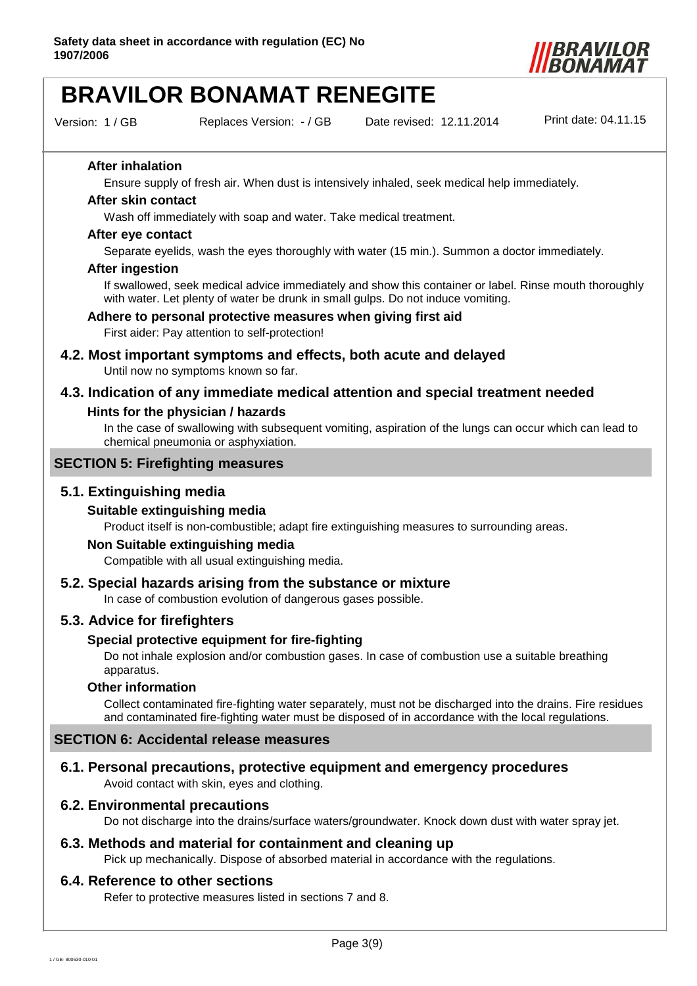

Version: 1 / GB Replaces Version: - / GB

Date revised: 12.11.2014 Print date: 04.11.15

#### **After inhalation**

Ensure supply of fresh air. When dust is intensively inhaled, seek medical help immediately.

#### **After skin contact**

Wash off immediately with soap and water. Take medical treatment.

#### **After eye contact**

Separate eyelids, wash the eyes thoroughly with water (15 min.). Summon a doctor immediately.

#### **After ingestion**

If swallowed, seek medical advice immediately and show this container or label. Rinse mouth thoroughly with water. Let plenty of water be drunk in small gulps. Do not induce vomiting.

#### **Adhere to personal protective measures when giving first aid**

First aider: Pay attention to self-protection!

- **4.2. Most important symptoms and effects, both acute and delayed**  Until now no symptoms known so far.
- **4.3. Indication of any immediate medical attention and special treatment needed**

## **Hints for the physician / hazards**

In the case of swallowing with subsequent vomiting, aspiration of the lungs can occur which can lead to chemical pneumonia or asphyxiation.

### **SECTION 5: Firefighting measures**

# **5.1. Extinguishing media**

#### **Suitable extinguishing media**

Product itself is non-combustible; adapt fire extinguishing measures to surrounding areas.

#### **Non Suitable extinguishing media**

Compatible with all usual extinguishing media.

# **5.2. Special hazards arising from the substance or mixture**

In case of combustion evolution of dangerous gases possible.

### **5.3. Advice for firefighters**

#### **Special protective equipment for fire-fighting**

Do not inhale explosion and/or combustion gases. In case of combustion use a suitable breathing apparatus.

#### **Other information**

Collect contaminated fire-fighting water separately, must not be discharged into the drains. Fire residues and contaminated fire-fighting water must be disposed of in accordance with the local regulations.

### **SECTION 6: Accidental release measures**

### **6.1. Personal precautions, protective equipment and emergency procedures**

Avoid contact with skin, eyes and clothing.

#### **6.2. Environmental precautions**

Do not discharge into the drains/surface waters/groundwater. Knock down dust with water spray jet.

# **6.3. Methods and material for containment and cleaning up**

Pick up mechanically. Dispose of absorbed material in accordance with the regulations.

#### **6.4. Reference to other sections**

Refer to protective measures listed in sections 7 and 8.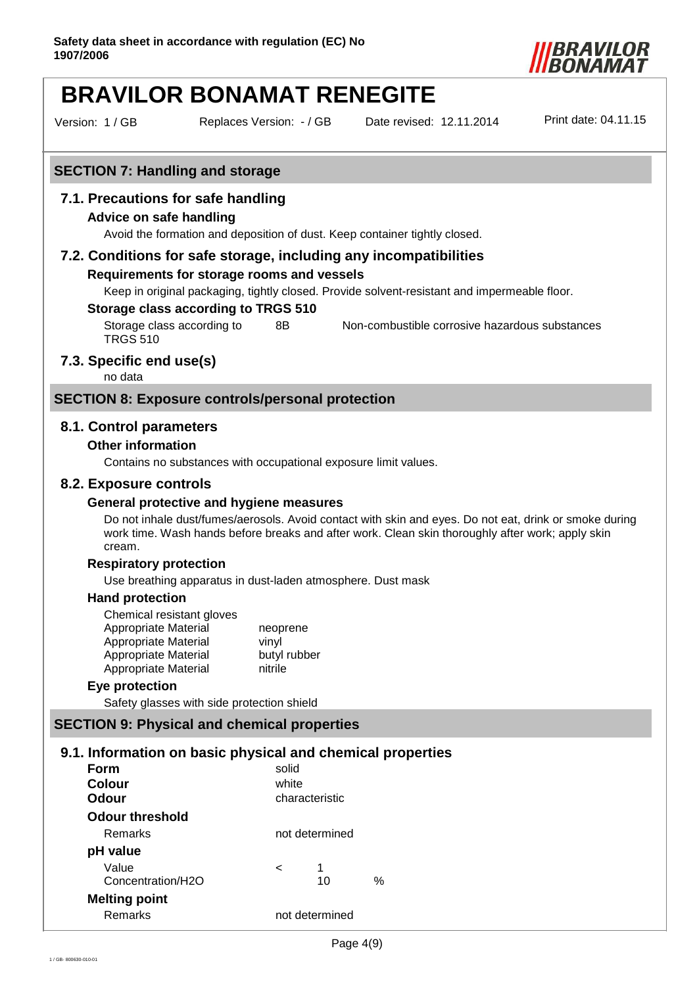

Version: 1 / GB Replaces Version: - / GB

Date revised: 12.11.2014 Print date: 04.11.15

# **SECTION 7: Handling and storage**

## **7.1. Precautions for safe handling**

#### **Advice on safe handling**

Avoid the formation and deposition of dust. Keep container tightly closed.

#### **7.2. Conditions for safe storage, including any incompatibilities**

#### **Requirements for storage rooms and vessels**

Keep in original packaging, tightly closed. Provide solvent-resistant and impermeable floor.

#### **Storage class according to TRGS 510**

Storage class according to TRGS 510 8B Non-combustible corrosive hazardous substances

### **7.3. Specific end use(s)**

no data

#### **SECTION 8: Exposure controls/personal protection**

#### **8.1. Control parameters**

#### **Other information**

Contains no substances with occupational exposure limit values.

#### **8.2. Exposure controls**

#### **General protective and hygiene measures**

Do not inhale dust/fumes/aerosols. Avoid contact with skin and eyes. Do not eat, drink or smoke during work time. Wash hands before breaks and after work. Clean skin thoroughly after work; apply skin cream.

#### **Respiratory protection**

Use breathing apparatus in dust-laden atmosphere. Dust mask

#### **Hand protection**

| Chemical resistant gloves |              |
|---------------------------|--------------|
| Appropriate Material      | neoprene     |
| Appropriate Material      | vinyl        |
| Appropriate Material      | butyl rubber |
| Appropriate Material      | nitrile      |

#### **Eye protection**

Safety glasses with side protection shield

# **SECTION 9: Physical and chemical properties**

# **9.1. Information on basic physical and chemical properties**

| Form<br><b>Colour</b><br>Odour | solid<br>white<br>characteristic |   |
|--------------------------------|----------------------------------|---|
| Odour threshold                |                                  |   |
| Remarks                        | not determined                   |   |
| pH value                       |                                  |   |
| Value                          | 1<br><                           |   |
| Concentration/H2O              | 10                               | ℅ |
| <b>Melting point</b>           |                                  |   |
| Remarks                        | not determined                   |   |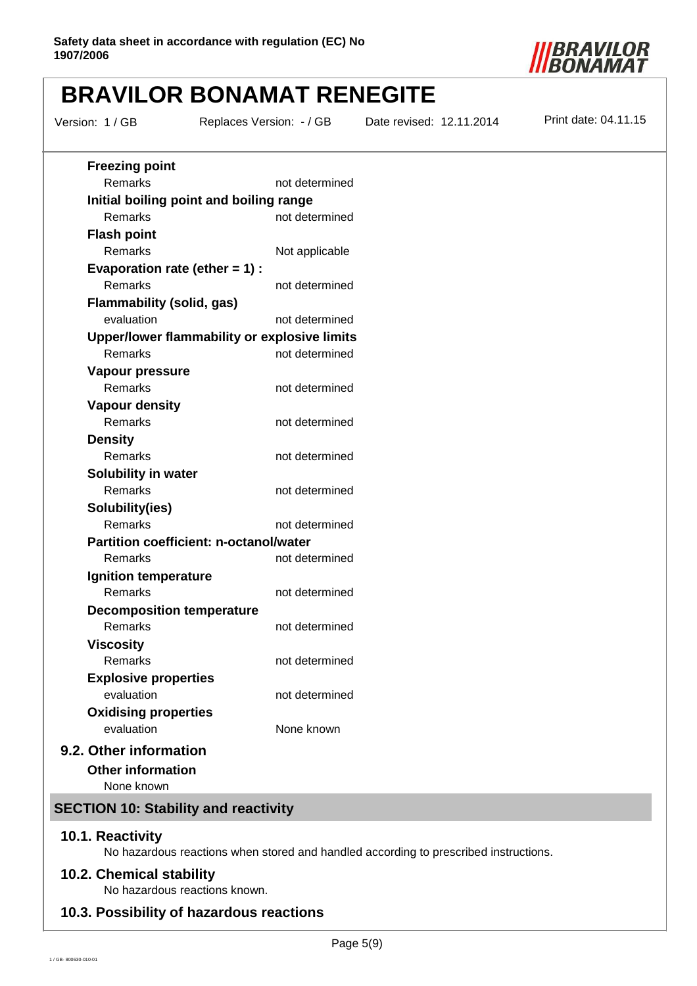

Version: 1 / GB Replaces Version: - / GB

Date revised: 12.11.2014 Print date: 04.11.15

| <b>Freezing point</b>                         |                |
|-----------------------------------------------|----------------|
| Remarks                                       | not determined |
| Initial boiling point and boiling range       |                |
| Remarks                                       | not determined |
| <b>Flash point</b>                            |                |
| Remarks                                       | Not applicable |
| Evaporation rate (ether $= 1$ ) :             |                |
| Remarks                                       | not determined |
| <b>Flammability (solid, gas)</b>              |                |
| evaluation                                    | not determined |
| Upper/lower flammability or explosive limits  |                |
| Remarks                                       | not determined |
| Vapour pressure                               |                |
| Remarks                                       | not determined |
| <b>Vapour density</b><br>Remarks              | not determined |
|                                               |                |
| <b>Density</b><br>Remarks                     | not determined |
| <b>Solubility in water</b>                    |                |
| Remarks                                       | not determined |
| Solubility(ies)                               |                |
| Remarks                                       | not determined |
| <b>Partition coefficient: n-octanol/water</b> |                |
| Remarks                                       | not determined |
| Ignition temperature                          |                |
| Remarks                                       | not determined |
| <b>Decomposition temperature</b>              |                |
| Remarks                                       | not determined |
| <b>Viscosity</b>                              |                |
| Remarks                                       | not determined |
| <b>Explosive properties</b>                   |                |
| evaluation                                    | not determined |
| <b>Oxidising properties</b>                   |                |
| evaluation                                    | None known     |
| 9.2. Other information                        |                |
| <b>Other information</b>                      |                |
| None known                                    |                |

# **SECTION 10: Stability and reactivity**

#### **10.1. Reactivity**

No hazardous reactions when stored and handled according to prescribed instructions.

# **10.2. Chemical stability**

No hazardous reactions known.

### **10.3. Possibility of hazardous reactions**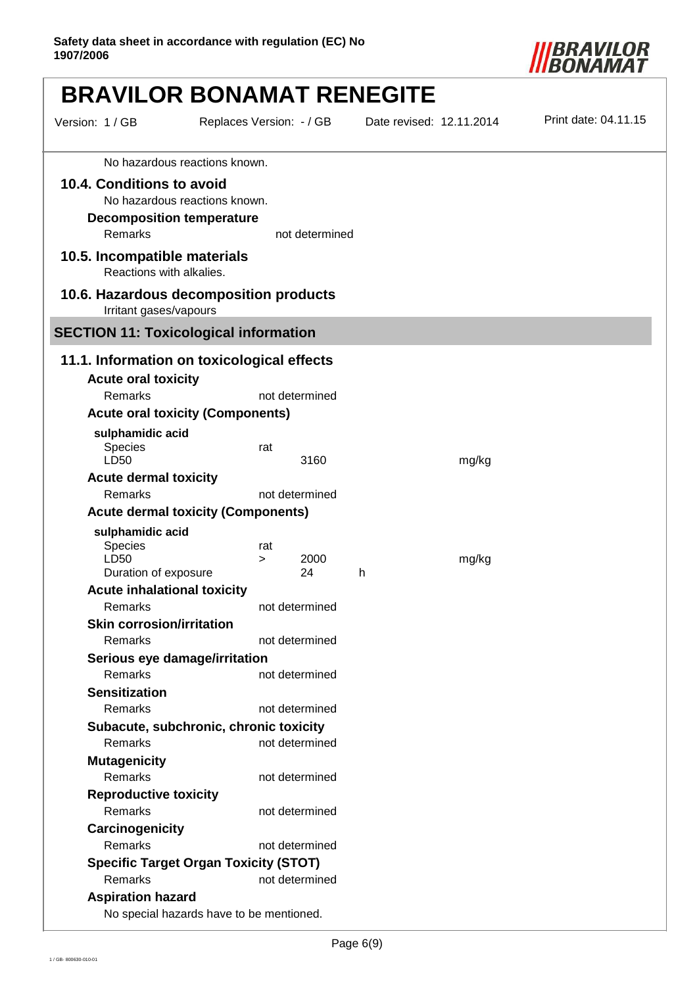

|                                                                                 | <b>BRAVILOR BONAMAT RENEGITE</b>                |                          |                      |
|---------------------------------------------------------------------------------|-------------------------------------------------|--------------------------|----------------------|
| Version: 1 / GB                                                                 | Replaces Version: - / GB                        | Date revised: 12.11.2014 | Print date: 04.11.15 |
|                                                                                 | No hazardous reactions known.                   |                          |                      |
| 10.4. Conditions to avoid<br><b>Decomposition temperature</b><br><b>Remarks</b> | No hazardous reactions known.<br>not determined |                          |                      |
| 10.5. Incompatible materials<br>Reactions with alkalies.                        |                                                 |                          |                      |
| Irritant gases/vapours                                                          | 10.6. Hazardous decomposition products          |                          |                      |
|                                                                                 | <b>SECTION 11: Toxicological information</b>    |                          |                      |
|                                                                                 | 11.1. Information on toxicological effects      |                          |                      |
| <b>Acute oral toxicity</b>                                                      |                                                 |                          |                      |
| Remarks                                                                         | not determined                                  |                          |                      |
|                                                                                 | <b>Acute oral toxicity (Components)</b>         |                          |                      |
| sulphamidic acid<br>Species<br>LD50                                             | rat<br>3160                                     | mg/kg                    |                      |
| <b>Acute dermal toxicity</b>                                                    |                                                 |                          |                      |
| Remarks                                                                         | not determined                                  |                          |                      |
|                                                                                 | <b>Acute dermal toxicity (Components)</b>       |                          |                      |
| sulphamidic acid                                                                |                                                 |                          |                      |
| Species                                                                         | rat                                             |                          |                      |
| LD50                                                                            | 2000<br>$\geq$<br>24                            | mg/kg<br>h               |                      |
| Duration of exposure<br><b>Acute inhalational toxicity</b>                      |                                                 |                          |                      |
| Remarks                                                                         | not determined                                  |                          |                      |
| <b>Skin corrosion/irritation</b>                                                |                                                 |                          |                      |
| Remarks                                                                         | not determined                                  |                          |                      |
| Serious eye damage/irritation                                                   |                                                 |                          |                      |
| Remarks                                                                         | not determined                                  |                          |                      |
| <b>Sensitization</b>                                                            |                                                 |                          |                      |
| Remarks                                                                         | not determined                                  |                          |                      |
|                                                                                 | Subacute, subchronic, chronic toxicity          |                          |                      |
| Remarks                                                                         | not determined                                  |                          |                      |
| <b>Mutagenicity</b>                                                             |                                                 |                          |                      |
| Remarks                                                                         | not determined                                  |                          |                      |
| <b>Reproductive toxicity</b>                                                    |                                                 |                          |                      |
| Remarks                                                                         | not determined                                  |                          |                      |
| Carcinogenicity                                                                 |                                                 |                          |                      |
| Remarks                                                                         | not determined                                  |                          |                      |
|                                                                                 | <b>Specific Target Organ Toxicity (STOT)</b>    |                          |                      |
| Remarks                                                                         | not determined                                  |                          |                      |
| <b>Aspiration hazard</b>                                                        |                                                 |                          |                      |
|                                                                                 | No special hazards have to be mentioned.        |                          |                      |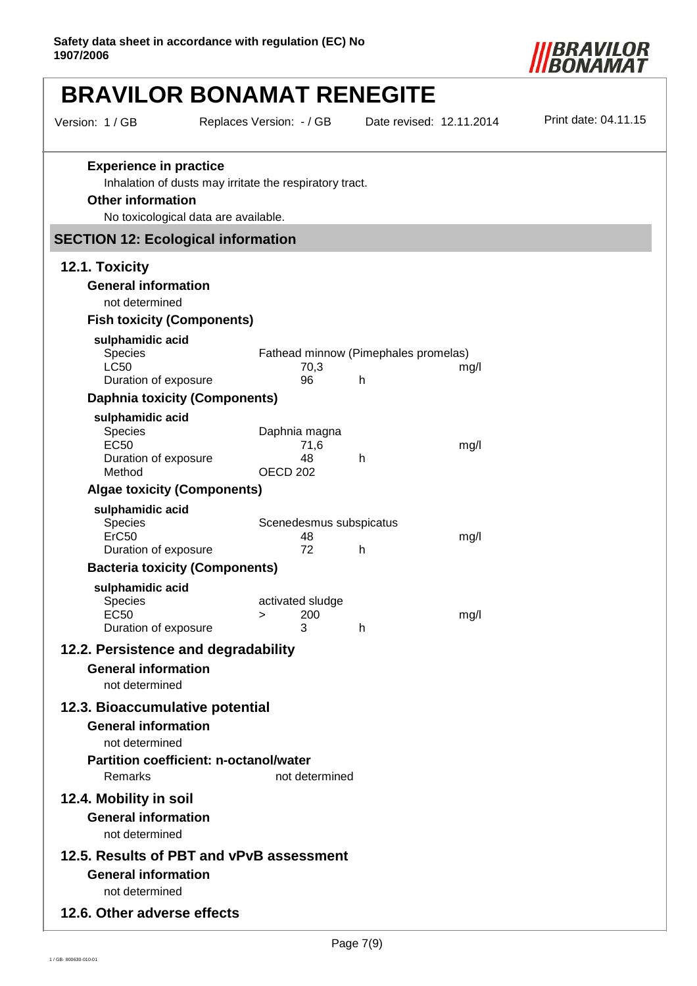

| Version: 1 / GB                                                                            | Replaces Version: - / GB                                                                        |                              |                                                      | Date revised: 12.11.2014 | Print date: 04.11.15 |
|--------------------------------------------------------------------------------------------|-------------------------------------------------------------------------------------------------|------------------------------|------------------------------------------------------|--------------------------|----------------------|
| <b>Experience in practice</b><br><b>Other information</b>                                  | Inhalation of dusts may irritate the respiratory tract.<br>No toxicological data are available. |                              |                                                      |                          |                      |
| <b>SECTION 12: Ecological information</b>                                                  |                                                                                                 |                              |                                                      |                          |                      |
| 12.1. Toxicity                                                                             |                                                                                                 |                              |                                                      |                          |                      |
| <b>General information</b><br>not determined                                               |                                                                                                 |                              |                                                      |                          |                      |
| <b>Fish toxicity (Components)</b>                                                          |                                                                                                 |                              |                                                      |                          |                      |
| sulphamidic acid<br>Species<br><b>LC50</b><br>Duration of exposure                         |                                                                                                 | 70,3<br>96                   | Fathead minnow (Pimephales promelas)<br>$\mathsf{h}$ | mg/l                     |                      |
| <b>Daphnia toxicity (Components)</b>                                                       |                                                                                                 |                              |                                                      |                          |                      |
| sulphamidic acid<br>Species<br><b>EC50</b><br>Duration of exposure<br>Method               | OECD <sub>202</sub>                                                                             | Daphnia magna<br>71,6<br>48  | h                                                    | mg/l                     |                      |
| <b>Algae toxicity (Components)</b>                                                         |                                                                                                 |                              |                                                      |                          |                      |
| sulphamidic acid<br><b>Species</b><br>ErC50<br>Duration of exposure                        |                                                                                                 | 48<br>72                     | Scenedesmus subspicatus<br>h                         | mg/l                     |                      |
| <b>Bacteria toxicity (Components)</b>                                                      |                                                                                                 |                              |                                                      |                          |                      |
| sulphamidic acid<br><b>Species</b><br><b>EC50</b><br>Duration of exposure                  | >                                                                                               | activated sludge<br>200<br>3 | h                                                    | mg/l                     |                      |
| 12.2. Persistence and degradability                                                        |                                                                                                 |                              |                                                      |                          |                      |
| <b>General information</b><br>not determined                                               |                                                                                                 |                              |                                                      |                          |                      |
| 12.3. Bioaccumulative potential<br><b>General information</b><br>not determined<br>Remarks | <b>Partition coefficient: n-octanol/water</b>                                                   |                              |                                                      |                          |                      |
| 12.4. Mobility in soil<br><b>General information</b><br>not determined                     |                                                                                                 | not determined               |                                                      |                          |                      |
| 12.5. Results of PBT and vPvB assessment<br><b>General information</b><br>not determined   |                                                                                                 |                              |                                                      |                          |                      |
| 12.6. Other adverse effects                                                                |                                                                                                 |                              |                                                      |                          |                      |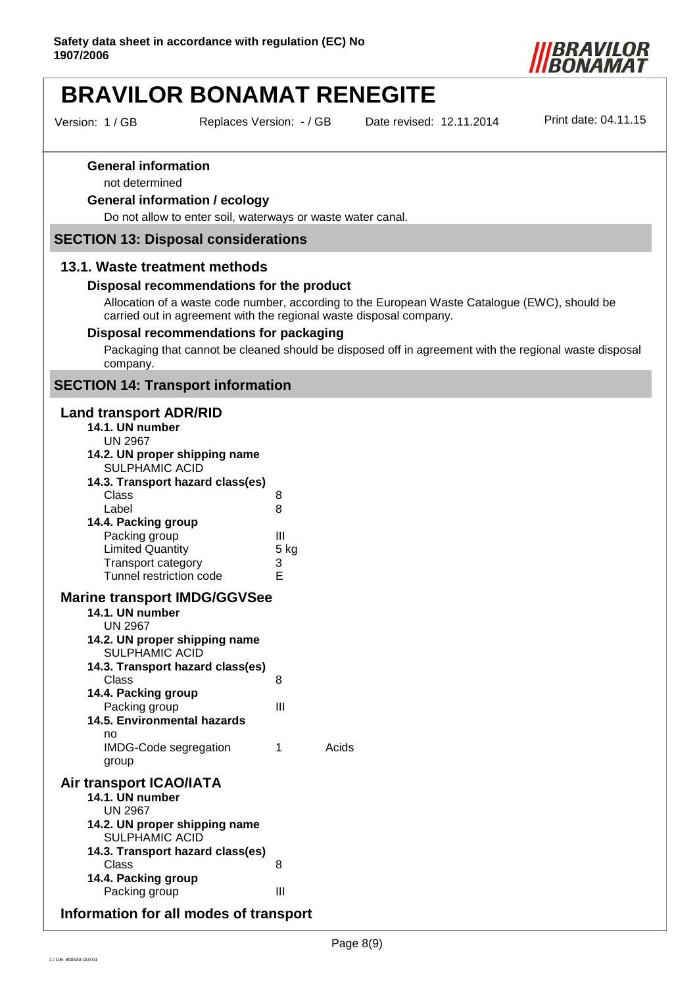

Version: 1 / GB Replaces Version: - / GB

Date revised: 12.11.2014 Print date: 04.11.15

#### **General information**

not determined

#### **General information / ecology**

Do not allow to enter soil, waterways or waste water canal.

#### **SECTION 13: Disposal considerations**

#### **13.1. Waste treatment methods**

#### **Disposal recommendations for the product**

Allocation of a waste code number, according to the European Waste Catalogue (EWC), should be carried out in agreement with the regional waste disposal company.

#### **Disposal recommendations for packaging**

Packaging that cannot be cleaned should be disposed off in agreement with the regional waste disposal company.

### **SECTION 14: Transport information**

#### **Land transport ADR/RID**

| 14.1. UN number                                                          |           |       |
|--------------------------------------------------------------------------|-----------|-------|
| <b>UN 2967</b><br>14.2. UN proper shipping name<br><b>SULPHAMIC ACID</b> |           |       |
| 14.3. Transport hazard class(es)<br>Class                                | 8         |       |
| Label                                                                    | 8         |       |
| 14.4. Packing group<br>Packing group<br><b>Limited Quantity</b>          | Ш<br>5 kg |       |
| Transport category<br>Tunnel restriction code                            | 3<br>F    |       |
| <b>Marine transport IMDG/GGVSee</b>                                      |           |       |
| 14.1. UN number                                                          |           |       |
| <b>UN 2967</b><br>14.2. UN proper shipping name<br><b>SULPHAMIC ACID</b> |           |       |
| 14.3. Transport hazard class(es)                                         |           |       |
| <b>Class</b>                                                             | 8         |       |
| 14.4. Packing group<br>Packing group                                     | Ш         |       |
| 14.5. Environmental hazards                                              |           |       |
| no                                                                       |           |       |
| IMDG-Code segregation<br>group                                           | 1         | Acids |
| Air transport ICAO/IATA                                                  |           |       |
| 14.1. UN number<br><b>UN 2967</b>                                        |           |       |
| 14.2. UN proper shipping name<br><b>SULPHAMIC ACID</b>                   |           |       |
| 14.3. Transport hazard class(es)                                         |           |       |
| Class<br>14.4. Packing group                                             | 8         |       |
| Packing group                                                            | Ш         |       |
| Information for all modes of transport                                   |           |       |